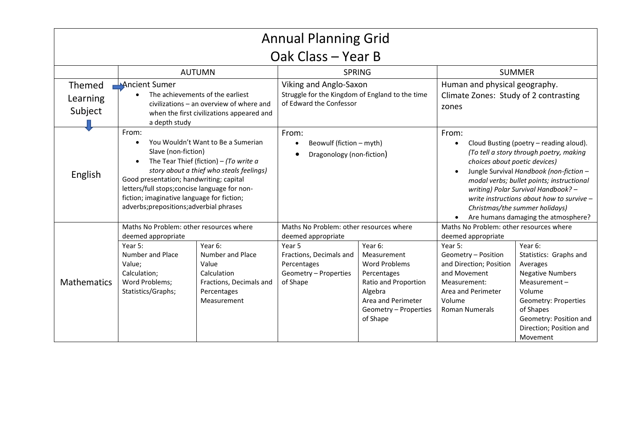| <b>Annual Planning Grid</b>          |                                                                                                                                                                                                                                                                                                                                                               |                                                                                                              |                                                                                                                                                        |                                                                                                                                                             |                                                                                                                                                                                                                                                                                                                                                                                                |                                                                                                                                                                                                          |  |  |
|--------------------------------------|---------------------------------------------------------------------------------------------------------------------------------------------------------------------------------------------------------------------------------------------------------------------------------------------------------------------------------------------------------------|--------------------------------------------------------------------------------------------------------------|--------------------------------------------------------------------------------------------------------------------------------------------------------|-------------------------------------------------------------------------------------------------------------------------------------------------------------|------------------------------------------------------------------------------------------------------------------------------------------------------------------------------------------------------------------------------------------------------------------------------------------------------------------------------------------------------------------------------------------------|----------------------------------------------------------------------------------------------------------------------------------------------------------------------------------------------------------|--|--|
| Oak Class - Year B                   |                                                                                                                                                                                                                                                                                                                                                               |                                                                                                              |                                                                                                                                                        |                                                                                                                                                             |                                                                                                                                                                                                                                                                                                                                                                                                |                                                                                                                                                                                                          |  |  |
|                                      |                                                                                                                                                                                                                                                                                                                                                               | <b>AUTUMN</b>                                                                                                | <b>SPRING</b>                                                                                                                                          |                                                                                                                                                             | <b>SUMMER</b>                                                                                                                                                                                                                                                                                                                                                                                  |                                                                                                                                                                                                          |  |  |
| <b>Themed</b><br>Learning<br>Subject | Ancient Sumer<br>The achievements of the earliest<br>civilizations - an overview of where and<br>when the first civilizations appeared and<br>a depth study                                                                                                                                                                                                   |                                                                                                              | Viking and Anglo-Saxon<br>Struggle for the Kingdom of England to the time<br>of Edward the Confessor                                                   |                                                                                                                                                             | Human and physical geography.<br>Climate Zones: Study of 2 contrasting<br>zones                                                                                                                                                                                                                                                                                                                |                                                                                                                                                                                                          |  |  |
| English                              | From:<br>You Wouldn't Want to Be a Sumerian<br>$\bullet$<br>Slave (non-fiction)<br>The Tear Thief (fiction) – (To write $a$<br>story about a thief who steals feelings)<br>Good presentation; handwriting; capital<br>letters/full stops; concise language for non-<br>fiction; imaginative language for fiction;<br>adverbs; prepositions; adverbial phrases |                                                                                                              | From:<br>Beowulf (fiction - myth)<br>$\bullet$<br>Dragonology (non-fiction)                                                                            |                                                                                                                                                             | From:<br>Cloud Busting (poetry - reading aloud).<br>$\bullet$<br>(To tell a story through poetry, making<br>choices about poetic devices)<br>Jungle Survival Handbook (non-fiction -<br>modal verbs; bullet points; instructional<br>writing) Polar Survival Handbook? -<br>write instructions about how to survive -<br>Christmas/the summer holidays)<br>Are humans damaging the atmosphere? |                                                                                                                                                                                                          |  |  |
| <b>Mathematics</b>                   | Maths No Problem: other resources where<br>deemed appropriate<br>Year 5:<br>Number and Place<br>Value;<br>Calculation;<br>Word Problems;<br>Statistics/Graphs;                                                                                                                                                                                                | Year 6:<br>Number and Place<br>Value<br>Calculation<br>Fractions, Decimals and<br>Percentages<br>Measurement | Maths No Problem: other resources where<br>deemed appropriate<br>Year 5<br>Fractions, Decimals and<br>Percentages<br>Geometry - Properties<br>of Shape | Year 6:<br>Measurement<br><b>Word Problems</b><br>Percentages<br>Ratio and Proportion<br>Algebra<br>Area and Perimeter<br>Geometry - Properties<br>of Shape | Maths No Problem: other resources where<br>deemed appropriate<br>Year 5:<br>Geometry - Position<br>and Direction; Position<br>and Movement<br>Measurement:<br>Area and Perimeter<br>Volume<br><b>Roman Numerals</b>                                                                                                                                                                            | Year 6:<br>Statistics: Graphs and<br>Averages<br><b>Negative Numbers</b><br>Measurement-<br>Volume<br>Geometry: Properties<br>of Shapes<br>Geometry: Position and<br>Direction; Position and<br>Movement |  |  |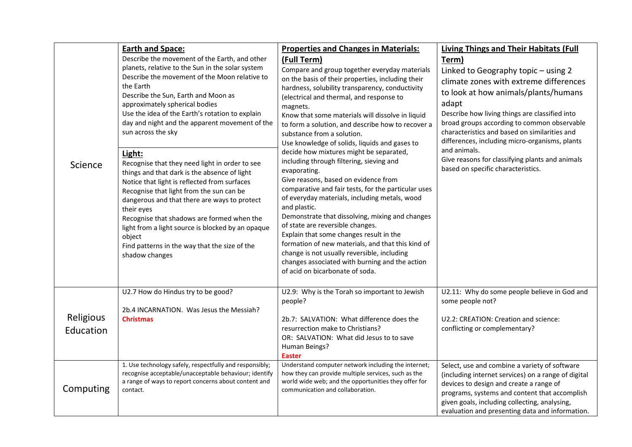| Science                | <b>Earth and Space:</b><br>Describe the movement of the Earth, and other<br>planets, relative to the Sun in the solar system<br>Describe the movement of the Moon relative to<br>the Earth<br>Describe the Sun, Earth and Moon as<br>approximately spherical bodies<br>Use the idea of the Earth's rotation to explain<br>day and night and the apparent movement of the<br>sun across the sky<br>Light:<br>Recognise that they need light in order to see<br>things and that dark is the absence of light<br>Notice that light is reflected from surfaces<br>Recognise that light from the sun can be<br>dangerous and that there are ways to protect<br>their eyes<br>Recognise that shadows are formed when the<br>light from a light source is blocked by an opaque<br>object<br>Find patterns in the way that the size of the<br>shadow changes | <b>Properties and Changes in Materials:</b><br>(Full Term)<br>Compare and group together everyday materials<br>on the basis of their properties, including their<br>hardness, solubility transparency, conductivity<br>(electrical and thermal, and response to<br>magnets.<br>Know that some materials will dissolve in liquid<br>to form a solution, and describe how to recover a<br>substance from a solution.<br>Use knowledge of solids, liquids and gases to<br>decide how mixtures might be separated,<br>including through filtering, sieving and<br>evaporating.<br>Give reasons, based on evidence from<br>comparative and fair tests, for the particular uses<br>of everyday materials, including metals, wood<br>and plastic.<br>Demonstrate that dissolving, mixing and changes<br>of state are reversible changes.<br>Explain that some changes result in the<br>formation of new materials, and that this kind of<br>change is not usually reversible, including<br>changes associated with burning and the action<br>of acid on bicarbonate of soda. | <b>Living Things and Their Habitats (Full</b><br>Term)<br>Linked to Geography topic - using 2<br>climate zones with extreme differences<br>to look at how animals/plants/humans<br>adapt<br>Describe how living things are classified into<br>broad groups according to common observable<br>characteristics and based on similarities and<br>differences, including micro-organisms, plants<br>and animals.<br>Give reasons for classifying plants and animals<br>based on specific characteristics. |
|------------------------|------------------------------------------------------------------------------------------------------------------------------------------------------------------------------------------------------------------------------------------------------------------------------------------------------------------------------------------------------------------------------------------------------------------------------------------------------------------------------------------------------------------------------------------------------------------------------------------------------------------------------------------------------------------------------------------------------------------------------------------------------------------------------------------------------------------------------------------------------|-----------------------------------------------------------------------------------------------------------------------------------------------------------------------------------------------------------------------------------------------------------------------------------------------------------------------------------------------------------------------------------------------------------------------------------------------------------------------------------------------------------------------------------------------------------------------------------------------------------------------------------------------------------------------------------------------------------------------------------------------------------------------------------------------------------------------------------------------------------------------------------------------------------------------------------------------------------------------------------------------------------------------------------------------------------------------|-------------------------------------------------------------------------------------------------------------------------------------------------------------------------------------------------------------------------------------------------------------------------------------------------------------------------------------------------------------------------------------------------------------------------------------------------------------------------------------------------------|
| Religious<br>Education | U2.7 How do Hindus try to be good?<br>2b.4 INCARNATION. Was Jesus the Messiah?<br><b>Christmas</b>                                                                                                                                                                                                                                                                                                                                                                                                                                                                                                                                                                                                                                                                                                                                                   | U2.9: Why is the Torah so important to Jewish<br>people?<br>2b.7: SALVATION: What difference does the<br>resurrection make to Christians?<br>OR: SALVATION: What did Jesus to to save<br>Human Beings?<br><b>Easter</b>                                                                                                                                                                                                                                                                                                                                                                                                                                                                                                                                                                                                                                                                                                                                                                                                                                               | U2.11: Why do some people believe in God and<br>some people not?<br>U2.2: CREATION: Creation and science:<br>conflicting or complementary?                                                                                                                                                                                                                                                                                                                                                            |
| Computing              | 1. Use technology safely, respectfully and responsibly;<br>recognise acceptable/unacceptable behaviour; identify<br>a range of ways to report concerns about content and<br>contact.                                                                                                                                                                                                                                                                                                                                                                                                                                                                                                                                                                                                                                                                 | Understand computer network including the internet;<br>how they can provide multiple services, such as the<br>world wide web; and the opportunities they offer for<br>communication and collaboration.                                                                                                                                                                                                                                                                                                                                                                                                                                                                                                                                                                                                                                                                                                                                                                                                                                                                | Select, use and combine a variety of software<br>(including internet services) on a range of digital<br>devices to design and create a range of<br>programs, systems and content that accomplish<br>given goals, including collecting, analysing,<br>evaluation and presenting data and information.                                                                                                                                                                                                  |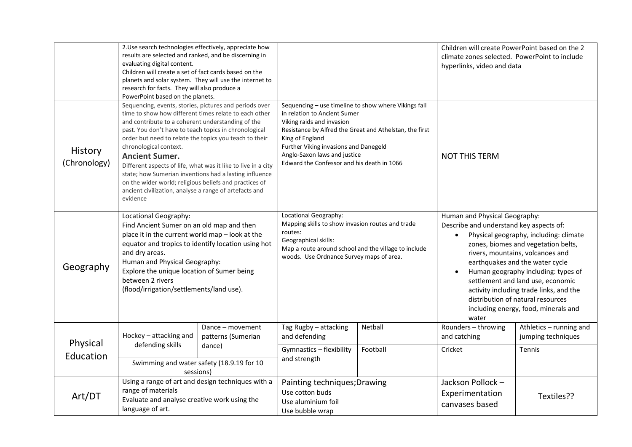|                         | 2. Use search technologies effectively, appreciate how<br>results are selected and ranked, and be discerning in<br>evaluating digital content.<br>Children will create a set of fact cards based on the<br>planets and solar system. They will use the internet to<br>research for facts. They will also produce a<br>PowerPoint based on the planets.                                                                                                                                                                                                                                                |                                                  |                                                                                                                                                                                                                                                                                                                        |          | Children will create PowerPoint based on the 2<br>climate zones selected. PowerPoint to include<br>hyperlinks, video and data                                                                                                                                                                                                                                                                                                                              |                                               |
|-------------------------|-------------------------------------------------------------------------------------------------------------------------------------------------------------------------------------------------------------------------------------------------------------------------------------------------------------------------------------------------------------------------------------------------------------------------------------------------------------------------------------------------------------------------------------------------------------------------------------------------------|--------------------------------------------------|------------------------------------------------------------------------------------------------------------------------------------------------------------------------------------------------------------------------------------------------------------------------------------------------------------------------|----------|------------------------------------------------------------------------------------------------------------------------------------------------------------------------------------------------------------------------------------------------------------------------------------------------------------------------------------------------------------------------------------------------------------------------------------------------------------|-----------------------------------------------|
| History<br>(Chronology) | Sequencing, events, stories, pictures and periods over<br>time to show how different times relate to each other<br>and contribute to a coherent understanding of the<br>past. You don't have to teach topics in chronological<br>order but need to relate the topics you teach to their<br>chronological context.<br><b>Ancient Sumer.</b><br>Different aspects of life, what was it like to live in a city<br>state; how Sumerian inventions had a lasting influence<br>on the wider world; religious beliefs and practices of<br>ancient civilization, analyse a range of artefacts and<br>evidence |                                                  | Sequencing - use timeline to show where Vikings fall<br>in relation to Ancient Sumer<br>Viking raids and invasion<br>Resistance by Alfred the Great and Athelstan, the first<br>King of England<br>Further Viking invasions and Danegeld<br>Anglo-Saxon laws and justice<br>Edward the Confessor and his death in 1066 |          | <b>NOT THIS TERM</b>                                                                                                                                                                                                                                                                                                                                                                                                                                       |                                               |
| Geography               | Locational Geography:<br>Find Ancient Sumer on an old map and then<br>place it in the current world map - look at the<br>equator and tropics to identify location using hot<br>and dry areas.<br>Human and Physical Geography:<br>Explore the unique location of Sumer being<br>between 2 rivers<br>(flood/irrigation/settlements/land use).                                                                                                                                                                                                                                                          |                                                  | Locational Geography:<br>Mapping skills to show invasion routes and trade<br>routes:<br>Geographical skills:<br>Map a route around school and the village to include<br>woods. Use Ordnance Survey maps of area.                                                                                                       |          | Human and Physical Geography:<br>Describe and understand key aspects of:<br>Physical geography, including: climate<br>$\bullet$<br>zones, biomes and vegetation belts,<br>rivers, mountains, volcanoes and<br>earthquakes and the water cycle<br>Human geography including: types of<br>settlement and land use, economic<br>activity including trade links, and the<br>distribution of natural resources<br>including energy, food, minerals and<br>water |                                               |
| Physical<br>Education   | Hockey - attacking and<br>defending skills                                                                                                                                                                                                                                                                                                                                                                                                                                                                                                                                                            | Dance - movement<br>patterns (Sumerian<br>dance) | Tag Rugby - attacking<br>and defending                                                                                                                                                                                                                                                                                 | Netball  | Rounders - throwing<br>and catching                                                                                                                                                                                                                                                                                                                                                                                                                        | Athletics - running and<br>jumping techniques |
|                         | Swimming and water safety (18.9.19 for 10<br>sessions)                                                                                                                                                                                                                                                                                                                                                                                                                                                                                                                                                |                                                  | Gymnastics - flexibility<br>and strength                                                                                                                                                                                                                                                                               | Football | Cricket                                                                                                                                                                                                                                                                                                                                                                                                                                                    | Tennis                                        |
| Art/DT                  | Using a range of art and design techniques with a<br>range of materials<br>Evaluate and analyse creative work using the<br>language of art.                                                                                                                                                                                                                                                                                                                                                                                                                                                           |                                                  | Painting techniques; Drawing<br>Use cotton buds<br>Use aluminium foil<br>Use bubble wrap                                                                                                                                                                                                                               |          | Jackson Pollock -<br>Experimentation<br>canvases based                                                                                                                                                                                                                                                                                                                                                                                                     | Textiles??                                    |